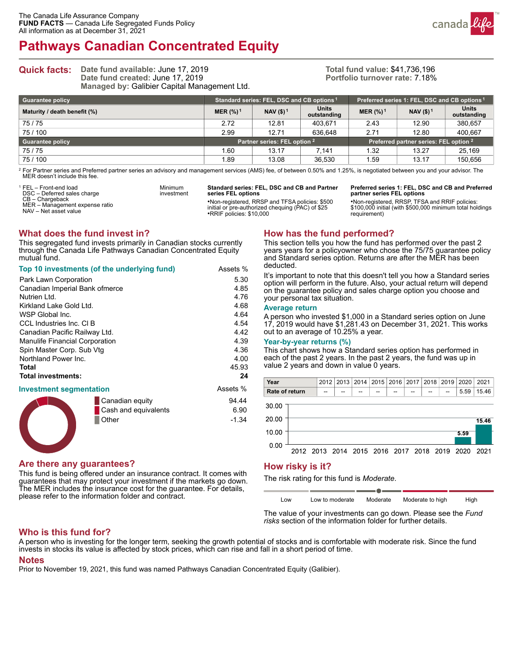# **Pathways Canadian Concentrated Equity**



**Quick facts:** Date fund available: June 17, 2019 **Date fund created:** June 17, 2019 **Managed by:** Galibier Capital Management Ltd.

> Minimum investment

#### <span id="page-0-3"></span>**Total fund value:** \$41,736,196 **Portfolio turnover rate:** 7.18%

| <b>Guarantee policy</b>      | Standard series: FEL, DSC and CB options <sup>1</sup> |                       |                             | Preferred series 1: FEL, DSC and CB options <sup>1</sup> |        |                             |
|------------------------------|-------------------------------------------------------|-----------------------|-----------------------------|----------------------------------------------------------|--------|-----------------------------|
| Maturity / death benefit (%) | MER $(%)1$                                            | NAV (\$) <sup>1</sup> | <b>Units</b><br>outstanding | MER $(\frac{9}{6})^1$                                    | NAV(1) | <b>Units</b><br>outstanding |
| 75/75                        | 2.72                                                  | 12.81                 | 403.671                     | 2.43                                                     | 12.90  | 380.657                     |
| 75/100                       | 2.99                                                  | 12.71                 | 636.648                     | 2.71                                                     | 12.80  | 400.667                     |
| <b>Guarantee policy</b>      | Partner series: FEL option 2                          |                       |                             | Preferred partner series: FEL option 2                   |        |                             |
| 75/75                        | .60                                                   | 13.17                 | 7.141                       | 1.32                                                     | 13.27  | 25.169                      |
| 75/100                       | .89                                                   | 13.08                 | 36.530                      | 1.59                                                     | 13.17  | 150,656                     |

<span id="page-0-1"></span><sup>[2](#page-0-2)</sup> For Partner series and Preferred partner series an advisory and management services (AMS) fee, of between 0.50% and 1.25%, is negotiated between you and your advisor. The MER doesn't include this fee.

<span id="page-0-0"></span>[1](#page-0-3) FEL – Front-end load DSC – Deferred sales charge CB – Chargeback MER – Management expense ratio NAV – Net asset value **Standard series: FEL, DSC and CB and Partner series FEL options**

•Non-registered, RRSP and TFSA policies: \$500 initial or pre-authorized chequing (PAC) of \$25 •RRIF policies: \$10,000

<span id="page-0-2"></span>**Preferred series 1: FEL, DSC and CB and Preferred partner series FEL options**

•Non-registered, RRSP, TFSA and RRIF policies: \$100,000 initial (with \$500,000 minimum total holdings requirement)

### **What does the fund invest in?**

This segregated fund invests primarily in Canadian stocks currently through the Canada Life Pathways Canadian Concentrated Equity mutual fund.

| Top 10 investments (of the underlying fund) | Assets %             |          |
|---------------------------------------------|----------------------|----------|
| Park Lawn Corporation                       | 5.30                 |          |
| Canadian Imperial Bank ofmerce              | 4.85                 |          |
| Nutrien Ltd.                                |                      | 4.76     |
| Kirkland Lake Gold Ltd.                     |                      | 4.68     |
| WSP Global Inc.                             |                      | 4.64     |
| CCL Industries Inc. CI B                    |                      | 4.54     |
| Canadian Pacific Railway Ltd.               |                      | 4.42     |
| Manulife Financial Corporation              | 4.39                 |          |
| Spin Master Corp. Sub Vtg                   | 4.36                 |          |
| Northland Power Inc.                        |                      | 4.00     |
| Total                                       |                      | 45.93    |
| <b>Total investments:</b>                   |                      | 24       |
| <b>Investment segmentation</b>              |                      | Assets % |
|                                             | Canadian equity      | 94.44    |
|                                             | Cash and equivalents | 6.90     |
|                                             | Other                | $-1.34$  |

# **How has the fund performed?**

This section tells you how the fund has performed over the past 2 years years for a policyowner who chose the 75/75 guarantee policy and Standard series option. Returns are after the MER has been deducted.

It's important to note that this doesn't tell you how a Standard series option will perform in the future. Also, your actual return will depend on the guarantee policy and sales charge option you choose and your personal tax situation.

#### **Average return**

A person who invested \$1,000 in a Standard series option on June 17, 2019 would have \$1,281.43 on December 31, 2021. This works out to an average of 10.25% a year.

#### **Year-by-year returns (%)**

This chart shows how a Standard series option has performed in each of the past 2 years. In the past 2 years, the fund was up in value 2 years and down in value 0 years.



# **Are there any guarantees?**

This fund is being offered under an insurance contract. It comes with guarantees that may protect your investment if the markets go down. The MER includes the insurance cost for the guarantee. For details, please refer to the information folder and contract.

### **How risky is it?**

The risk rating for this fund is *Moderate*.

Low Low to moderate Moderate Moderate to high High

The value of your investments can go down. Please see the *Fund risks* section of the information folder for further details.

### **Who is this fund for?**

A person who is investing for the longer term, seeking the growth potential of stocks and is comfortable with moderate risk. Since the fund invests in stocks its value is affected by stock prices, which can rise and fall in a short period of time.

#### **Notes**

Prior to November 19, 2021, this fund was named Pathways Canadian Concentrated Equity (Galibier).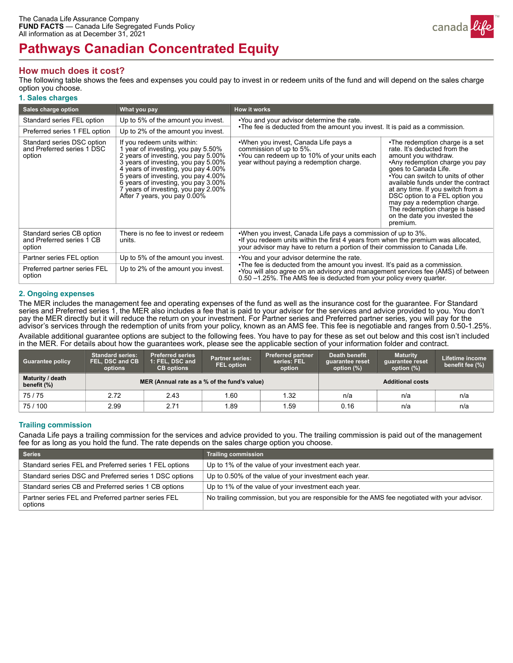

# **Pathways Canadian Concentrated Equity**

## **How much does it cost?**

The following table shows the fees and expenses you could pay to invest in or redeem units of the fund and will depend on the sales charge option you choose.

#### **1. Sales charges**

| Sales charge option                                                | What you pay                                                                                                                                                                                                                                                                                                                                | <b>How it works</b>                                                                                                                                                                                                                                                                   |                                                                                                                                                                                                                                                                                                                                                                                                                   |  |  |  |
|--------------------------------------------------------------------|---------------------------------------------------------------------------------------------------------------------------------------------------------------------------------------------------------------------------------------------------------------------------------------------------------------------------------------------|---------------------------------------------------------------------------------------------------------------------------------------------------------------------------------------------------------------------------------------------------------------------------------------|-------------------------------------------------------------------------------------------------------------------------------------------------------------------------------------------------------------------------------------------------------------------------------------------------------------------------------------------------------------------------------------------------------------------|--|--|--|
| Standard series FEL option                                         | Up to 5% of the amount you invest.                                                                                                                                                                                                                                                                                                          | . You and your advisor determine the rate.                                                                                                                                                                                                                                            |                                                                                                                                                                                                                                                                                                                                                                                                                   |  |  |  |
| Preferred series 1 FEL option                                      | Up to 2% of the amount you invest.                                                                                                                                                                                                                                                                                                          | •The fee is deducted from the amount you invest. It is paid as a commission.                                                                                                                                                                                                          |                                                                                                                                                                                                                                                                                                                                                                                                                   |  |  |  |
| Standard series DSC option<br>and Preferred series 1 DSC<br>option | If you redeem units within:<br>1 year of investing, you pay 5.50%<br>2 years of investing, you pay 5.00%<br>3 years of investing, you pay 5.00%<br>4 years of investing, you pay 4.00%<br>5 years of investing, you pay 4.00%<br>6 years of investing, you pay 3.00%<br>7 years of investing, you pay 2.00%<br>After 7 years, you pay 0.00% | •When you invest, Canada Life pays a<br>commission of up to 5%.<br>•You can redeem up to 10% of your units each<br>year without paying a redemption charge.                                                                                                                           | •The redemption charge is a set<br>rate. It's deducted from the<br>amount you withdraw.<br>•Any redemption charge you pay<br>goes to Canada Life.<br>•You can switch to units of other<br>available funds under the contract<br>at any time. If you switch from a<br>DSC option to a FEL option you<br>may pay a redemption charge.<br>The redemption charge is based<br>on the date you invested the<br>premium. |  |  |  |
| Standard series CB option<br>and Preferred series 1 CB<br>option   | There is no fee to invest or redeem<br>units.                                                                                                                                                                                                                                                                                               | .When you invest, Canada Life pays a commission of up to 3%.<br>•If you redeem units within the first 4 years from when the premium was allocated,<br>your advisor may have to return a portion of their commission to Canada Life.                                                   |                                                                                                                                                                                                                                                                                                                                                                                                                   |  |  |  |
| Partner series FEL option                                          | Up to 5% of the amount you invest.                                                                                                                                                                                                                                                                                                          | . You and your advisor determine the rate.<br>•The fee is deducted from the amount you invest. It's paid as a commission.<br>•You will also agree on an advisory and management services fee (AMS) of between<br>0.50 -1.25%. The AMS fee is deducted from your policy every quarter. |                                                                                                                                                                                                                                                                                                                                                                                                                   |  |  |  |
| Preferred partner series FEL<br>option                             | Up to 2% of the amount you invest.                                                                                                                                                                                                                                                                                                          |                                                                                                                                                                                                                                                                                       |                                                                                                                                                                                                                                                                                                                                                                                                                   |  |  |  |

#### **2. Ongoing expenses**

The MER includes the management fee and operating expenses of the fund as well as the insurance cost for the guarantee. For Standard series and Preferred series 1, the MER also includes a fee that is paid to your advisor for the services and advice provided to you. You don't pay the MER directly but it will reduce the return on your investment. For Partner series and Preferred partner series, you will pay for the advisor's services through the redemption of units from your policy, known as an AMS fee. This fee is negotiable and ranges from 0.50-1.25%.

Available additional guarantee options are subject to the following fees. You have to pay for these as set out below and this cost isn't included in the MER. For details about how the guarantees work, please see the applicable section of your information folder and contract.

| <b>Guarantee policy</b>         | <b>Standard series:</b><br>FEL, DSC and CB<br>options | <b>Preferred series</b><br>1: FEL, DSC and<br><b>CB</b> options | <b>Partner series:</b><br><b>FEL option</b> | <b>Preferred partner</b><br>series: FEL<br>option | Death benefit<br>quarantee reset<br>option $(\%)$ | <b>Maturity</b><br>quarantee reset<br>option (%) | Lifetime income<br>benefit fee (%) |
|---------------------------------|-------------------------------------------------------|-----------------------------------------------------------------|---------------------------------------------|---------------------------------------------------|---------------------------------------------------|--------------------------------------------------|------------------------------------|
| Maturity / death<br>benefit (%) | MER (Annual rate as a % of the fund's value)          |                                                                 |                                             | <b>Additional costs</b>                           |                                                   |                                                  |                                    |
| 75/75                           | 2.72                                                  | 2.43                                                            | .60                                         | 1.32                                              | n/a                                               | n/a                                              | n/a                                |
| 75/100                          | 2.99                                                  | 2.71                                                            | .89                                         | 1.59                                              | 0.16                                              | n/a                                              | n/a                                |

### **Trailing commission**

Canada Life pays a trailing commission for the services and advice provided to you. The trailing commission is paid out of the management fee for as long as you hold the fund. The rate depends on the sales charge option you choose.

| <b>Series</b>                                                  | <b>Trailing commission</b>                                                                    |
|----------------------------------------------------------------|-----------------------------------------------------------------------------------------------|
| Standard series FEL and Preferred series 1 FEL options         | Up to 1% of the value of your investment each year.                                           |
| Standard series DSC and Preferred series 1 DSC options         | Up to 0.50% of the value of your investment each year.                                        |
| Standard series CB and Preferred series 1 CB options           | Up to 1% of the value of your investment each year.                                           |
| Partner series FEL and Preferred partner series FEL<br>options | No trailing commission, but you are responsible for the AMS fee negotiated with your advisor. |